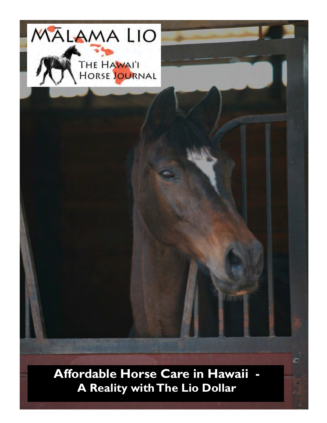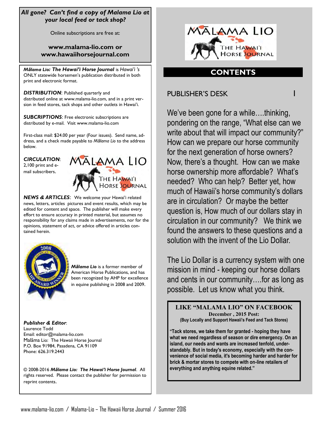## *All gone? Can't find a copy of Malama Lio at your local feed or tack shop?*

Online subscriptions are free at:

## **www.malama-lio.com or www.hawaiihorsejournal.com**

*Mālama Lio: The Hawai'i Horse Journal* is *Hawai'i 's* ONLY statewide horsemen's publication distributed in both print and electronic format.

*DISTRIBUTION*: Published quarterly and distributed online at www.malama-lio.com, and in a print version in feed stores, tack shops and other outlets in Hawai'i.

*SUBCRIPTIONS*: Free electronic subscriptions are distributed by e-mail. Visit www.malama-lio.com

First-class mail: \$24.00 per year (Four issues). Send name, address, and a check made payable to *Mālama Lio* to the address below.

*CIRCULATION*: 2,100 print and email subscribers.

*NEWS & ARTICLES*: We welcome your Hawai'i related news, letters, articles pictures and event results, which may be edited for content and space. The publisher will make every effort to ensure accuracy in printed material, but assumes no responsibility for any claims made in advertisements, nor for the opinions, statement of act, or advice offered in articles contained herein.



*Mālama Lio* is a former member of American Horse Publications, and has been recognized by AHP for excellence in equine publishing in 2008 and 2009.

**MALAMALIO** 

**HORSE JOURNAL** 

*Publisher & Editor*: Laurence Todd Email: editor@malama-lio.com Malãma Lio: The Hawaii Horse Journal P.O. Box 91984, Pasadena, CA 91109 Phone: 626.319.2443

© 2008-2016 *Mālama Lio: The Hawai'i Horse Journal*. All rights reserved. Please contact the publisher for permission to reprint contents.



## **CONTENTS**

PUBLISHER'S DESK 1

We've been gone for a while....thinking, pondering on the range, "What else can we write about that will impact our community?" How can we prepare our horse community for the next generation of horse owners? Now, there's a thought. How can we make horse ownership more affordable? What's needed? Who can help? Better yet, how much of Hawaii's horse community's dollars are in circulation? Or maybe the better question is, How much of our dollars stay in circulation in our community? We think we found the answers to these questions and a solution with the invent of the Lio Dollar.

The Lio Dollar is a currency system with one mission in mind - keeping our horse dollars and cents in our community….for as long as possible. Let us know what you think.

**LIKE "MALAMA LIO" ON FACEBOOK December , 2015 Post: (Buy Locally and Support Hawaii's Feed and Tack Stores)**

**"Tack stores, we take them for granted - hoping they have what we need regardless of season or dire emergency. On an island, our needs and wants are increased tenfold, understandably. But in today's economy, especially with the convenience of social media, it's becoming harder and harder for brick & mortar stores to compete with on-line retailers of everything and anything equine related."**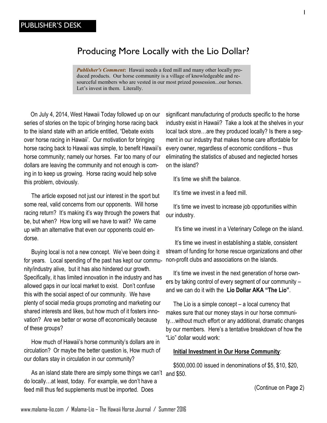# Producing More Locally with the Lio Dollar?

*Publisher's Comment***:** Hawaii needs a feed mill and many other locally produced products. Our horse community is a village of knowledgeable and resourceful members who are vested in our most prized possession...our horses. Let's invest in them. Literally.

 On July 4, 2014, West Hawaii Today followed up on our series of stories on the topic of bringing horse racing back to the island state with an article entitled, "Debate exists over horse racing in Hawaii'. Our motivation for bringing horse racing back to Hawaii was simple, to benefit Hawaii's horse community; namely our horses. Far too many of our dollars are leaving the community and not enough is coming in to keep us growing. Horse racing would help solve this problem, obviously.

 The article exposed not just our interest in the sport but some real, valid concerns from our opponents. Will horse racing return? It's making it's way through the powers that be, but when? How long will we have to wait? We came up with an alternative that even our opponents could endorse.

 Buying local is not a new concept. We've been doing it for years. Local spending of the past has kept our community/industry alive, but it has also hindered our growth. Specifically, it has limited innovation in the industry and has allowed gaps in our local market to exist. Don't confuse this with the social aspect of our community. We have plenty of social media groups promoting and marketing our shared interests and likes, but how much of it fosters innovation? Are we better or worse off economically because of these groups?

 How much of Hawaii's horse community's dollars are in circulation? Or maybe the better question is, How much of our dollars stay in circulation in our community?

As an island state there are simply some things we can't and \$50. do locally…at least, today. For example, we don't have a feed mill thus fed supplements must be imported. Does

significant manufacturing of products specific to the horse industry exist in Hawaii? Take a look at the shelves in your local tack store…are they produced locally? Is there a segment in our industry that makes horse care affordable for every owner, regardless of economic conditions – thus eliminating the statistics of abused and neglected horses on the island?

It's time we shift the balance.

It's time we invest in a feed mill.

 It's time we invest to increase job opportunities within our industry.

It's time we invest in a Veterinary College on the island.

 It's time we invest in establishing a stable, consistent stream of funding for horse rescue organizations and other non-profit clubs and associations on the islands.

 It's time we invest in the next generation of horse owners by taking control of every segment of our community – and we can do it with the **Lio Dollar AKA "The Lio"**.

 The Lio is a simple concept – a local currency that makes sure that our money stays in our horse community…without much effort or any additional, dramatic changes by our members. Here's a tentative breakdown of how the "Lio" dollar would work:

#### **Initial Investment in Our Horse Community**:

\$500,000.00 issued in denominations of \$5, \$10, \$20,

(Continue on Page 2)